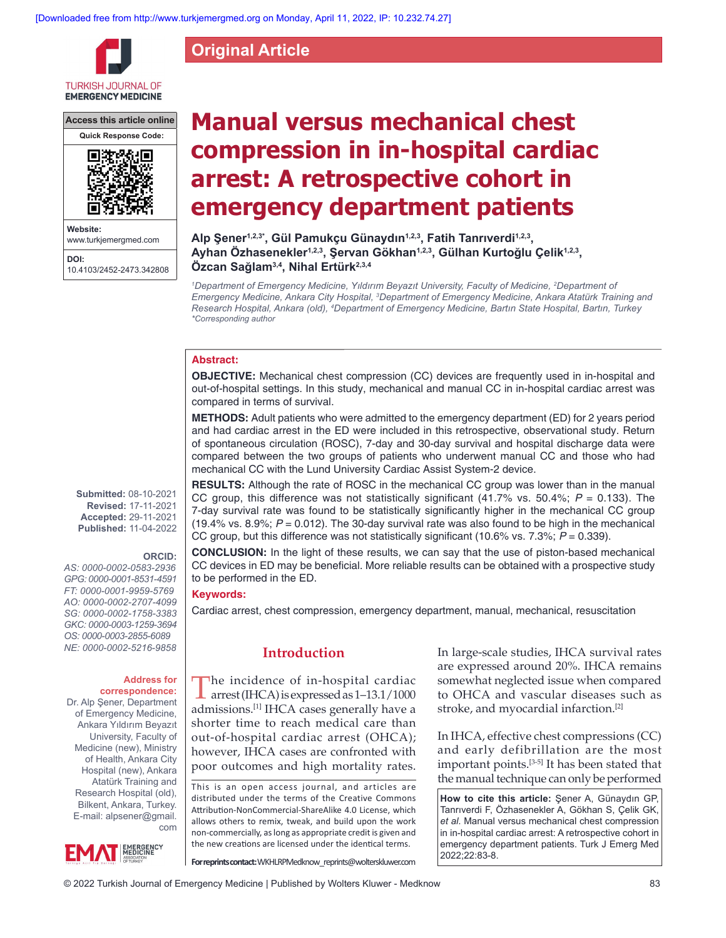**Original Article**

**TURKISH JOURNAL OF EMERGENCY MEDICINE** 

**Access this article online**



www.turkjemergmed.com **DOI:** 10.4103/2452-2473.342808

# **Manual versus mechanical chest compression in in‑hospital cardiac arrest: A retrospective cohort in emergency department patients**

**Alp Şener1,2,3\*, Gül Pamukçu Günaydın1,2,3, Fatih Tanrıverdi1,2,3, Ayhan Özhasenekler1,2,3, Şervan Gökhan1,2,3, Gülhan Kurtoğlu Çelik1,2,3,** Özcan Sağlam<sup>3,4</sup>, Nihal Ertürk<sup>2,3,4</sup>

*1*Department of Emergency Medicine, Yıldırım Beyazıt University, Faculty of Medicine, <sup>2</sup>Department of *Emergency Medicine, Ankara City Hospital, 3 Department of Emergency Medicine, Ankara Atatürk Training and Research Hospital, Ankara (old), 4 Department of Emergency Medicine, Bartın State Hospital, Bartın, Turkey \*Corresponding author*

## **Abstract:**

**OBJECTIVE:** Mechanical chest compression (CC) devices are frequently used in in-hospital and out-of-hospital settings. In this study, mechanical and manual CC in in-hospital cardiac arrest was compared in terms of survival.

**METHODS:** Adult patients who were admitted to the emergency department (ED) for 2 years period and had cardiac arrest in the ED were included in this retrospective, observational study. Return of spontaneous circulation (ROSC), 7‑day and 30‑day survival and hospital discharge data were compared between the two groups of patients who underwent manual CC and those who had mechanical CC with the Lund University Cardiac Assist System‑2 device.

**RESULTS:** Although the rate of ROSC in the mechanical CC group was lower than in the manual CC group, this difference was not statistically significant (41.7% vs. 50.4%; *P* = 0.133). The 7‑day survival rate was found to be statistically significantly higher in the mechanical CC group (19.4% vs. 8.9%;  $P = 0.012$ ). The 30-day survival rate was also found to be high in the mechanical CC group, but this difference was not statistically significant (10.6% vs. 7.3%;  $P = 0.339$ ).

**CONCLUSION:** In the light of these results, we can say that the use of piston-based mechanical CC devices in ED may be beneficial. More reliable results can be obtained with a prospective study to be performed in the ED.

## **Keywords:**

Cardiac arrest, chest compression, emergency department, manual, mechanical, resuscitation

# **Introduction**

The incidence of in-hospital cardiac<br>arrest(IHCA) is expressed as 1–13.1/1000 admissions.[1] IHCA cases generally have a shorter time to reach medical care than out-of-hospital cardiac arrest (OHCA); however, IHCA cases are confronted with poor outcomes and high mortality rates.

This is an open access journal, and articles are distributed under the terms of the Creative Commons Attribution‑NonCommercial‑ShareAlike 4.0 License, which allows others to remix, tweak, and build upon the work non‑commercially, as long as appropriate credit is given and the new creations are licensed under the identical terms.

**For reprints contact:** WKHLRPMedknow\_reprints@wolterskluwer.com

In large‑scale studies, IHCA survival rates are expressed around 20%. IHCA remains somewhat neglected issue when compared to OHCA and vascular diseases such as stroke, and myocardial infarction.[2]

In IHCA, effective chest compressions (CC) and early defibrillation are the most important points.[3‑5] It has been stated that the manual technique can only be performed

**How to cite this article:** Şener A, Günaydın GP, Tanrıverdi F, Özhasenekler A, Gökhan S, Çelik GK, *et al*. Manual versus mechanical chest compression in in-hospital cardiac arrest: A retrospective cohort in emergency department patients. Turk J Emerg Med 2022;22:83-8.

**Submitted:** 08-10-2021 **Revised:** 17-11-2021 **Accepted:** 29-11-2021 **Published:** 11-04-2022

## **ORCID:**

*AS: 0000‑0002‑0583‑2936 GPG: 0000‑0001‑8531‑4591 FT: 0000‑0001‑9959‑5769 AO: 0000‑0002‑2707‑4099 SG: 0000‑0002‑1758‑3383 GKC: 0000‑0003‑1259‑3694 OS: 0000‑0003‑2855‑6089 NE: 0000‑0002‑5216‑9858*

#### **Address for correspondence:**

Dr. Alp Şener, Department of Emergency Medicine, Ankara Yıldırım Beyazıt University, Faculty of Medicine (new), Ministry of Health, Ankara City Hospital (new), Ankara Atatürk Training and Research Hospital (old), Bilkent, Ankara, Turkey. E-mail: alpsener@gmail. com

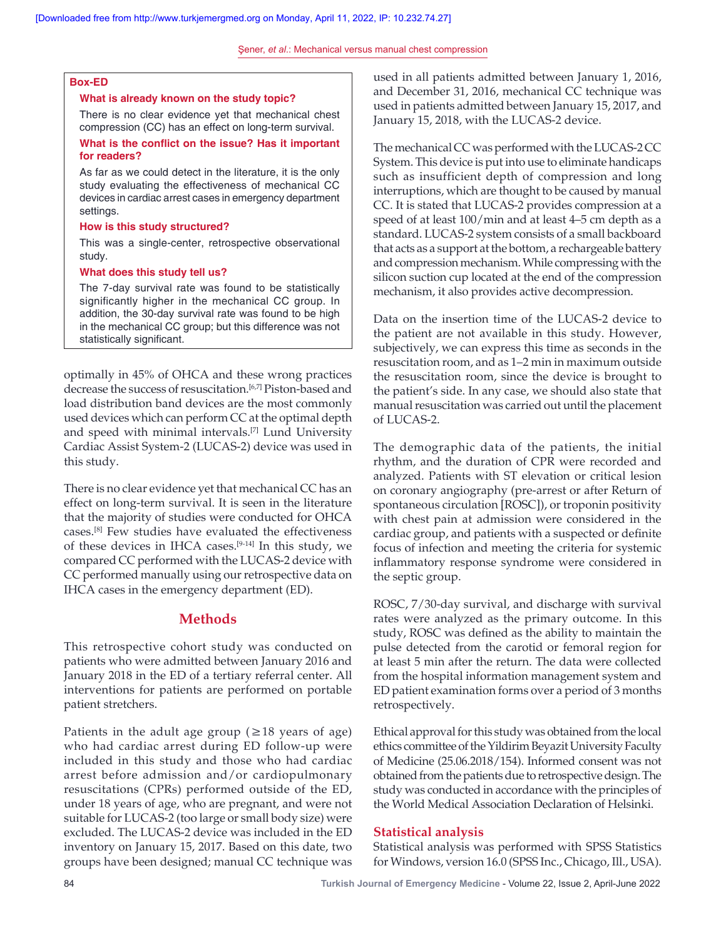Şener, *et al*.: Mechanical versus manual chest compression

## **Box‑ED**

#### **What is already known on the study topic?**

There is no clear evidence yet that mechanical chest compression (CC) has an effect on long‑term survival.

## **What is the conflict on the issue? Has it important for readers?**

As far as we could detect in the literature, it is the only study evaluating the effectiveness of mechanical CC devices in cardiac arrest cases in emergency department settings.

#### **How is this study structured?**

This was a single-center, retrospective observational study.

## **What does this study tell us?**

The 7‑day survival rate was found to be statistically significantly higher in the mechanical CC group. In addition, the 30‑day survival rate was found to be high in the mechanical CC group; but this difference was not statistically significant.

optimally in 45% of OHCA and these wrong practices decrease the success of resuscitation.<sup>[6,7]</sup> Piston-based and load distribution band devices are the most commonly used devices which can perform CC at the optimal depth and speed with minimal intervals.[7] Lund University Cardiac Assist System‑2 (LUCAS‑2) device was used in this study.

There is no clear evidence yet that mechanical CC has an effect on long‑term survival. It is seen in the literature that the majority of studies were conducted for OHCA cases.[8] Few studies have evaluated the effectiveness of these devices in IHCA cases.[9‑14] In this study, we compared CC performed with the LUCAS-2 device with CC performed manually using our retrospective data on IHCA cases in the emergency department (ED).

# **Methods**

This retrospective cohort study was conducted on patients who were admitted between January 2016 and January 2018 in the ED of a tertiary referral center. All interventions for patients are performed on portable patient stretchers.

Patients in the adult age group ( $\geq$ 18 years of age) who had cardiac arrest during ED follow-up were included in this study and those who had cardiac arrest before admission and/or cardiopulmonary resuscitations (CPRs) performed outside of the ED, under 18 years of age, who are pregnant, and were not suitable for LUCAS-2 (too large or small body size) were excluded. The LUCAS‑2 device was included in the ED inventory on January 15, 2017. Based on this date, two groups have been designed; manual CC technique was used in all patients admitted between January 1, 2016, and December 31, 2016, mechanical CC technique was used in patients admitted between January 15, 2017, and January 15, 2018, with the LUCAS-2 device.

The mechanical CC was performed with the LUCAS-2 CC System. This device is put into use to eliminate handicaps such as insufficient depth of compression and long interruptions, which are thought to be caused by manual CC. It is stated that LUCAS‑2 provides compression at a speed of at least 100/min and at least 4–5 cm depth as a standard. LUCAS‑2 system consists of a small backboard that acts as a support at the bottom, a rechargeable battery and compression mechanism. While compressing with the silicon suction cup located at the end of the compression mechanism, it also provides active decompression.

Data on the insertion time of the LUCAS-2 device to the patient are not available in this study. However, subjectively, we can express this time as seconds in the resuscitation room, and as 1–2 min in maximum outside the resuscitation room, since the device is brought to the patient's side. In any case, we should also state that manual resuscitation was carried out until the placement of LUCAS-2.

The demographic data of the patients, the initial rhythm, and the duration of CPR were recorded and analyzed. Patients with ST elevation or critical lesion on coronary angiography (pre‑arrest or after Return of spontaneous circulation [ROSC]), or troponin positivity with chest pain at admission were considered in the cardiac group, and patients with a suspected or definite focus of infection and meeting the criteria for systemic inflammatory response syndrome were considered in the septic group.

ROSC, 7/30‑day survival, and discharge with survival rates were analyzed as the primary outcome. In this study, ROSC was defined as the ability to maintain the pulse detected from the carotid or femoral region for at least 5 min after the return. The data were collected from the hospital information management system and ED patient examination forms over a period of 3 months retrospectively.

Ethical approval for this study was obtained from the local ethics committee of the Yildirim Beyazit University Faculty of Medicine (25.06.2018/154). Informed consent was not obtained from the patients due to retrospective design. The study was conducted in accordance with the principles of the World Medical Association Declaration of Helsinki.

## **Statistical analysis**

Statistical analysis was performed with SPSS Statistics for Windows, version 16.0 (SPSS Inc., Chicago, Ill., USA).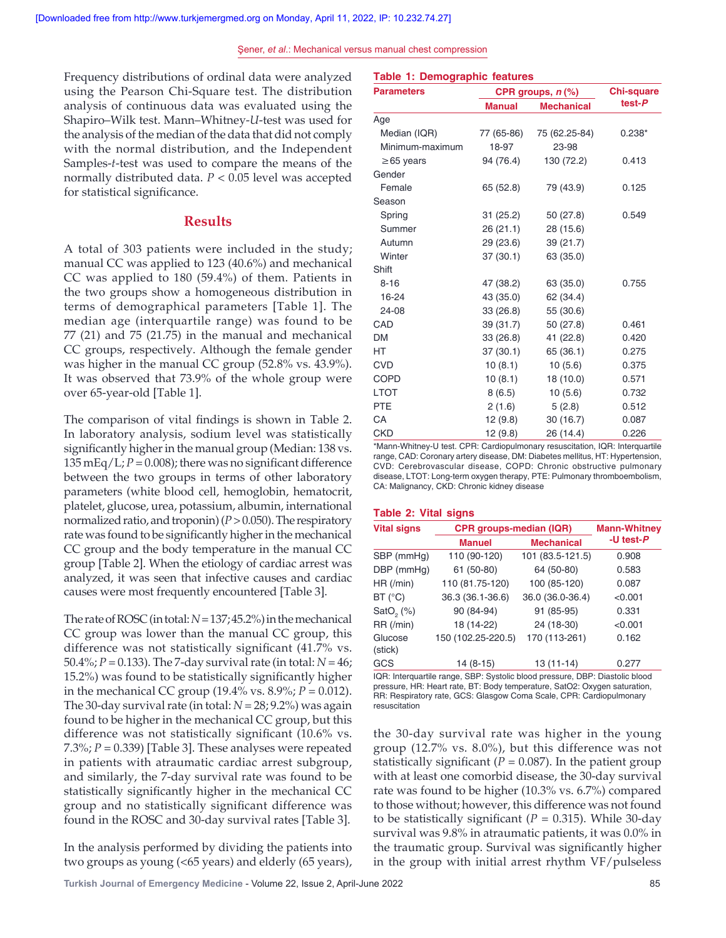**Table 1: Demographic features**

Frequency distributions of ordinal data were analyzed using the Pearson Chi‑Square test. The distribution analysis of continuous data was evaluated using the Shapiro–Wilk test. Mann–Whitney‑*U*‑test was used for the analysis of the median of the data that did not comply with the normal distribution, and the Independent Samples-*t*-test was used to compare the means of the normally distributed data. *P* < 0.05 level was accepted for statistical significance.

# **Results**

A total of 303 patients were included in the study; manual CC was applied to 123 (40.6%) and mechanical CC was applied to 180 (59.4%) of them. Patients in the two groups show a homogeneous distribution in terms of demographical parameters [Table 1]. The median age (interquartile range) was found to be 77 (21) and 75 (21.75) in the manual and mechanical CC groups, respectively. Although the female gender was higher in the manual CC group (52.8% vs. 43.9%). It was observed that 73.9% of the whole group were over 65‑year‑old [Table 1].

The comparison of vital findings is shown in Table 2. In laboratory analysis, sodium level was statistically significantly higher in the manual group (Median: 138 vs.  $135 \text{ mEq/L}; P = 0.008$ ; there was no significant difference between the two groups in terms of other laboratory parameters (white blood cell, hemoglobin, hematocrit, platelet, glucose, urea, potassium, albumin, international normalized ratio, and troponin)(*P*>0.050). The respiratory rate was found to be significantly higher in the mechanical CC group and the body temperature in the manual CC group [Table 2]. When the etiology of cardiac arrest was analyzed, it was seen that infective causes and cardiac causes were most frequently encountered [Table 3].

The rate of ROSC (in total:  $N = 137; 45.2\%$ ) in the mechanical CC group was lower than the manual CC group, this difference was not statistically significant (41.7% vs. 50.4%; *P* = 0.133). The 7‑day survival rate (in total: *N* = 46; 15.2%) was found to be statistically significantly higher in the mechanical CC group (19.4% vs. 8.9%; *P* = 0.012). The 30-day survival rate (in total:  $N = 28$ ; 9.2%) was again found to be higher in the mechanical CC group, but this difference was not statistically significant (10.6% vs. 7.3%; *P* = 0.339) [Table 3]. These analyses were repeated in patients with atraumatic cardiac arrest subgroup, and similarly, the 7‑day survival rate was found to be statistically significantly higher in the mechanical CC group and no statistically significant difference was found in the ROSC and 30‑day survival rates [Table 3].

In the analysis performed by dividing the patients into two groups as young (<65 years) and elderly (65 years),

| <b>Parameters</b> | CPR groups, $n$ $%$ | <b>Chi-square</b> |          |
|-------------------|---------------------|-------------------|----------|
|                   | <b>Manual</b>       | <b>Mechanical</b> | $test-P$ |
| Age               |                     |                   |          |
| Median (IQR)      | 77 (65-86)          | 75 (62.25-84)     | $0.238*$ |
| Minimum-maximum   | 18-97               | 23-98             |          |
| $\geq$ 65 years   | 94 (76.4)           | 130 (72.2)        | 0.413    |
| Gender            |                     |                   |          |
| Female            | 65 (52.8)           | 79 (43.9)         | 0.125    |
| Season            |                     |                   |          |
| Spring            | 31(25.2)            | 50 (27.8)         | 0.549    |
| Summer            | 26(21.1)            | 28 (15.6)         |          |
| Autumn            | 29 (23.6)           | 39 (21.7)         |          |
| Winter            | 37(30.1)            | 63 (35.0)         |          |
| Shift             |                     |                   |          |
| $8 - 16$          | 47 (38.2)           | 63 (35.0)         | 0.755    |
| 16-24             | 43 (35.0)           | 62 (34.4)         |          |
| 24-08             | 33 (26.8)           | 55 (30.6)         |          |
| CAD               | 39 (31.7)           | 50 (27.8)         | 0.461    |
| <b>DM</b>         | 33 (26.8)           | 41 (22.8)         | 0.420    |
| <b>HT</b>         | 37 (30.1)           | 65 (36.1)         | 0.275    |
| <b>CVD</b>        | 10(8.1)             | 10 (5.6)          | 0.375    |
| <b>COPD</b>       | 10(8.1)             | 18 (10.0)         | 0.571    |
| <b>LTOT</b>       | 8(6.5)              | 10(5.6)           | 0.732    |
| <b>PTE</b>        | 2(1.6)              | 5(2.8)            | 0.512    |
| CA                | 12 (9.8)            | 30(16.7)          | 0.087    |
| <b>CKD</b>        | 12 (9.8)            | 26 (14.4)         | 0.226    |

\*Mann‑Whitney‑U test. CPR: Cardiopulmonary resuscitation, IQR: Interquartile range, CAD: Coronary artery disease, DM: Diabetes mellitus, HT: Hypertension, CVD: Cerebrovascular disease, COPD: Chronic obstructive pulmonary disease, LTOT: Long‑term oxygen therapy, PTE: Pulmonary thromboembolism, CA: Malignancy, CKD: Chronic kidney disease

#### **Table 2: Vital signs**

| <b>Vital signs</b>    | <b>CPR groups-median (IQR)</b> | <b>Mann-Whitney</b> |              |  |
|-----------------------|--------------------------------|---------------------|--------------|--|
|                       | <b>Manuel</b>                  | <b>Mechanical</b>   | -U test- $P$ |  |
| SBP (mmHg)            | 110 (90-120)                   | 101 (83.5-121.5)    | 0.908        |  |
| DBP (mmHg)            | 61 (50-80)                     | 64 (50-80)          | 0.583        |  |
| HR (/min)             | 110 (81.75-120)                | 100 (85-120)        | 0.087        |  |
| BT (°C)               | 36.3 (36.1-36.6)               | 36.0 (36.0-36.4)    | < 0.001      |  |
| SatO <sub>2</sub> (%) | 90 (84-94)                     | 91 (85-95)          | 0.331        |  |
| RR (/min)             | 18 (14-22)                     | 24 (18-30)          | < 0.001      |  |
| Glucose<br>(stick)    | 150 (102.25-220.5)             | 170 (113-261)       | 0.162        |  |
| <b>GCS</b>            | 14 (8-15)                      | 13 (11-14)          | 0.277        |  |

IQR: Interquartile range, SBP: Systolic blood pressure, DBP: Diastolic blood pressure, HR: Heart rate, BT: Body temperature, SatO2: Oxygen saturation, RR: Respiratory rate, GCS: Glasgow Coma Scale, CPR: Cardiopulmonary resuscitation

the 30‑day survival rate was higher in the young group (12.7% vs. 8.0%), but this difference was not statistically significant ( $P = 0.087$ ). In the patient group with at least one comorbid disease, the 30‑day survival rate was found to be higher (10.3% vs. 6.7%) compared to those without; however, this difference was not found to be statistically significant ( $P = 0.315$ ). While 30-day survival was 9.8% in atraumatic patients, it was 0.0% in the traumatic group. Survival was significantly higher in the group with initial arrest rhythm VF/pulseless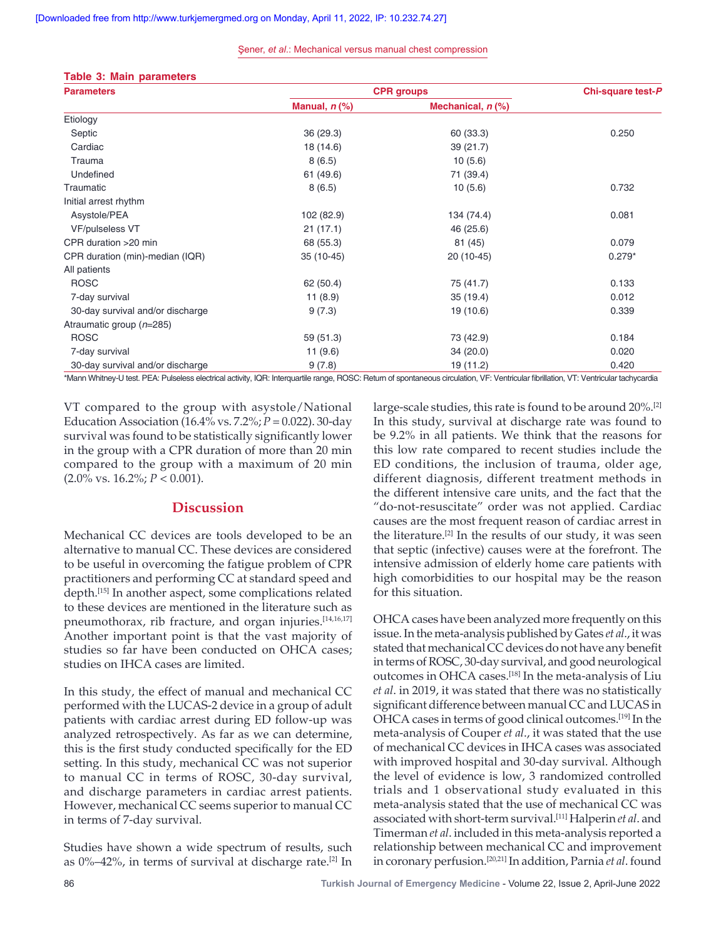#### Şener, *et al*.: Mechanical versus manual chest compression

|  |  |  | Table 3: Main parameters |  |
|--|--|--|--------------------------|--|
|--|--|--|--------------------------|--|

| <b>Parameters</b>                | <b>CPR</b> groups |                     | Chi-square test-P |
|----------------------------------|-------------------|---------------------|-------------------|
|                                  | Manual, $n$ $%$   | Mechanical, $n$ $%$ |                   |
| Etiology                         |                   |                     |                   |
| Septic                           | 36(29.3)          | 60 (33.3)           | 0.250             |
| Cardiac                          | 18 (14.6)         | 39 (21.7)           |                   |
| Trauma                           | 8(6.5)            | 10(5.6)             |                   |
| Undefined                        | 61(49.6)          | 71 (39.4)           |                   |
| Traumatic                        | 8(6.5)            | 10(5.6)             | 0.732             |
| Initial arrest rhythm            |                   |                     |                   |
| Asystole/PEA                     | 102 (82.9)        | 134 (74.4)          | 0.081             |
| VF/pulseless VT                  | 21(17.1)          | 46 (25.6)           |                   |
| CPR duration >20 min             | 68 (55.3)         | 81 (45)             | 0.079             |
| CPR duration (min)-median (IQR)  | $35(10-45)$       | 20 (10-45)          | $0.279*$          |
| All patients                     |                   |                     |                   |
| <b>ROSC</b>                      | 62 (50.4)         | 75 (41.7)           | 0.133             |
| 7-day survival                   | 11(8.9)           | 35(19.4)            | 0.012             |
| 30-day survival and/or discharge | 9(7.3)            | 19 (10.6)           | 0.339             |
| Atraumatic group (n=285)         |                   |                     |                   |
| <b>ROSC</b>                      | 59(51.3)          | 73 (42.9)           | 0.184             |
| 7-day survival                   | 11(9.6)           | 34(20.0)            | 0.020             |
| 30-day survival and/or discharge | 9(7.8)            | 19 (11.2)           | 0.420             |

\*Mann Whitney-U test. PEA: Pulseless electrical activity, IQR: Interquartile range, ROSC: Return of spontaneous circulation, VF: Ventricular fibrillation, VT: Ventricular tachycardia

VT compared to the group with asystole/National Education Association (16.4% vs. 7.2%; *P* = 0.022). 30‑day survival was found to be statistically significantly lower in the group with a CPR duration of more than 20 min compared to the group with a maximum of 20 min (2.0% vs. 16.2%; *P* < 0.001).

# **Discussion**

Mechanical CC devices are tools developed to be an alternative to manual CC. These devices are considered to be useful in overcoming the fatigue problem of CPR practitioners and performing CC at standard speed and depth.[15] In another aspect, some complications related to these devices are mentioned in the literature such as pneumothorax, rib fracture, and organ injuries.[14,16,17] Another important point is that the vast majority of studies so far have been conducted on OHCA cases; studies on IHCA cases are limited.

In this study, the effect of manual and mechanical CC performed with the LUCAS‑2 device in a group of adult patients with cardiac arrest during ED follow‑up was analyzed retrospectively. As far as we can determine, this is the first study conducted specifically for the ED setting. In this study, mechanical CC was not superior to manual CC in terms of ROSC, 30‑day survival, and discharge parameters in cardiac arrest patients. However, mechanical CC seems superior to manual CC in terms of 7‑day survival.

Studies have shown a wide spectrum of results, such as  $0\% - 42\%$ , in terms of survival at discharge rate.<sup>[2]</sup> In large-scale studies, this rate is found to be around 20%.<sup>[2]</sup> In this study, survival at discharge rate was found to be 9.2% in all patients. We think that the reasons for this low rate compared to recent studies include the ED conditions, the inclusion of trauma, older age, different diagnosis, different treatment methods in the different intensive care units, and the fact that the "do-not-resuscitate" order was not applied. Cardiac causes are the most frequent reason of cardiac arrest in the literature.<sup>[2]</sup> In the results of our study, it was seen that septic (infective) causes were at the forefront. The intensive admission of elderly home care patients with high comorbidities to our hospital may be the reason for this situation.

OHCA cases have been analyzed more frequently on this issue. In the meta‑analysis published by Gates *et al*., it was stated that mechanical CC devices do not have any benefit in terms of ROSC, 30‑day survival, and good neurological outcomes in OHCA cases.<sup>[18]</sup> In the meta-analysis of Liu *et al*. in 2019, it was stated that there was no statistically significant difference between manual CC and LUCAS in OHCA cases in terms of good clinical outcomes.[19] In the meta‑analysis of Couper *et al*., it was stated that the use of mechanical CC devices in IHCA cases was associated with improved hospital and 30‑day survival. Although the level of evidence is low, 3 randomized controlled trials and 1 observational study evaluated in this meta‑analysis stated that the use of mechanical CC was associated with short‑term survival.[11] Halperin *et al*. and Timerman *et al*. included in this meta‑analysis reported a relationship between mechanical CC and improvement in coronary perfusion.[20,21] In addition, Parnia *et al*. found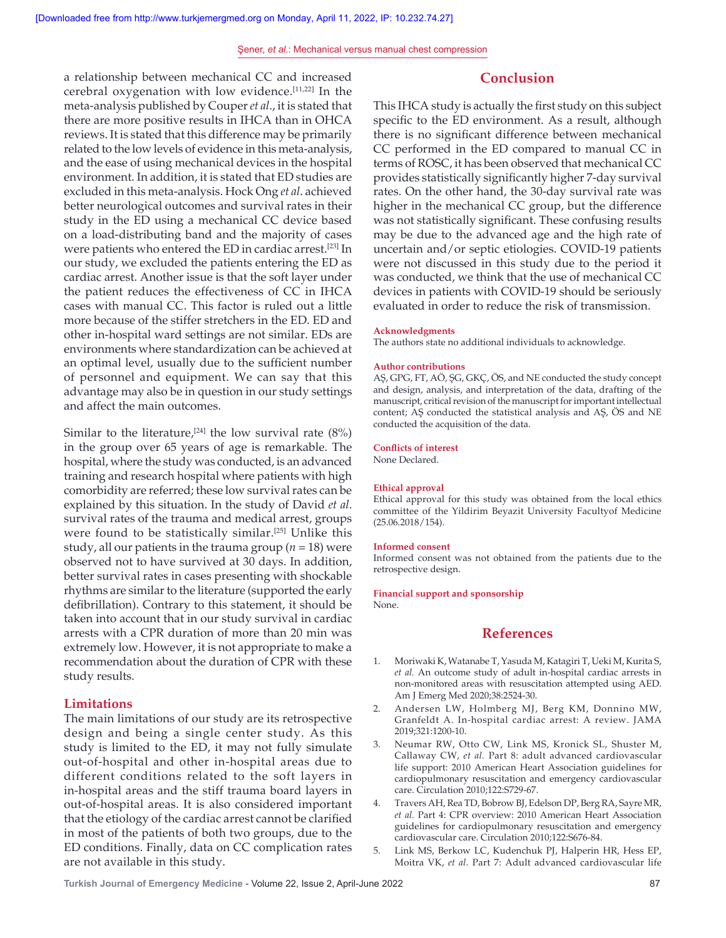# **Conclusion**

a relationship between mechanical CC and increased cerebral oxygenation with low evidence.[11,22] In the meta‑analysis published by Couper *et al*., it is stated that there are more positive results in IHCA than in OHCA reviews. It is stated that this difference may be primarily related to the low levels of evidence in this meta-analysis, and the ease of using mechanical devices in the hospital environment. In addition, it is stated that ED studies are excluded in this meta‑analysis. Hock Ong *et al*. achieved better neurological outcomes and survival rates in their study in the ED using a mechanical CC device based on a load‑distributing band and the majority of cases were patients who entered the ED in cardiac arrest.[23] In our study, we excluded the patients entering the ED as cardiac arrest. Another issue is that the soft layer under the patient reduces the effectiveness of CC in IHCA cases with manual CC. This factor is ruled out a little more because of the stiffer stretchers in the ED. ED and other in‑hospital ward settings are not similar. EDs are environments where standardization can be achieved at an optimal level, usually due to the sufficient number of personnel and equipment. We can say that this advantage may also be in question in our study settings and affect the main outcomes.

Similar to the literature,<sup>[24]</sup> the low survival rate  $(8\%)$ in the group over 65 years of age is remarkable. The hospital, where the study was conducted, is an advanced training and research hospital where patients with high comorbidity are referred; these low survival rates can be explained by this situation. In the study of David *et al*. survival rates of the trauma and medical arrest, groups were found to be statistically similar.<sup>[25]</sup> Unlike this study, all our patients in the trauma group ( $n = 18$ ) were observed not to have survived at 30 days. In addition, better survival rates in cases presenting with shockable rhythms are similar to the literature (supported the early defibrillation). Contrary to this statement, it should be taken into account that in our study survival in cardiac arrests with a CPR duration of more than 20 min was extremely low. However, it is not appropriate to make a recommendation about the duration of CPR with these study results.

# **Limitations**

The main limitations of our study are its retrospective design and being a single center study. As this study is limited to the ED, it may not fully simulate out‑of‑hospital and other in‑hospital areas due to different conditions related to the soft layers in in‑hospital areas and the stiff trauma board layers in out‑of‑hospital areas. It is also considered important that the etiology of the cardiac arrest cannot be clarified in most of the patients of both two groups, due to the ED conditions. Finally, data on CC complication rates are not available in this study.

This IHCA study is actually the first study on this subject specific to the ED environment. As a result, although there is no significant difference between mechanical CC performed in the ED compared to manual CC in terms of ROSC, it has been observed that mechanical CC provides statistically significantly higher 7‑day survival rates. On the other hand, the 30‑day survival rate was higher in the mechanical CC group, but the difference was not statistically significant. These confusing results may be due to the advanced age and the high rate of uncertain and/or septic etiologies. COVID-19 patients were not discussed in this study due to the period it was conducted, we think that the use of mechanical CC devices in patients with COVID-19 should be seriously evaluated in order to reduce the risk of transmission.

#### **Acknowledgments**

The authors state no additional individuals to acknowledge.

#### **Author contributions**

AŞ, GPG, FT, AÖ, ŞG, GKÇ, ÖS, and NE conducted the study concept and design, analysis, and interpretation of the data, drafting of the manuscript, critical revision of the manuscript for important intellectual content; AŞ conducted the statistical analysis and AŞ, ÖS and NE conducted the acquisition of the data.

#### **Conflicts of interest**

None Declared.

#### **Ethical approval**

Ethical approval for this study was obtained from the local ethics committee of the Yildirim Beyazit University Facultyof Medicine (25.06.2018/154).

#### **Informed consent**

Informed consent was not obtained from the patients due to the retrospective design.

## **Financial support and sponsorship**

None.

# **References**

- 1. Moriwaki K, Watanabe T, Yasuda M, Katagiri T, Ueki M, Kurita S, *et al.* An outcome study of adult in‑hospital cardiac arrests in non‑monitored areas with resuscitation attempted using AED. Am J Emerg Med 2020;38:2524‑30.
- 2. Andersen LW, Holmberg MJ, Berg KM, Donnino MW, Granfeldt A. In‑hospital cardiac arrest: A review. JAMA 2019;321:1200‑10.
- 3. Neumar RW, Otto CW, Link MS, Kronick SL, Shuster M, Callaway CW, *et al.* Part 8: adult advanced cardiovascular life support: 2010 American Heart Association guidelines for cardiopulmonary resuscitation and emergency cardiovascular care. Circulation 2010;122:S729-67.
- 4. Travers AH, Rea TD, Bobrow BJ, Edelson DP, Berg RA, Sayre MR, *et al.* Part 4: CPR overview: 2010 American Heart Association guidelines for cardiopulmonary resuscitation and emergency cardiovascular care. Circulation 2010;122:S676‑84.
- 5. Link MS, Berkow LC, Kudenchuk PJ, Halperin HR, Hess EP, Moitra VK, *et al.* Part 7: Adult advanced cardiovascular life